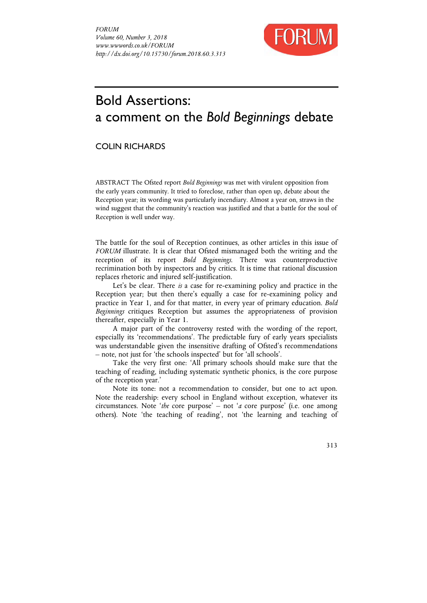

## Bold Assertions: a comment on the *Bold Beginnings* debate

## COLIN RICHARDS

ABSTRACT The Ofsted report *Bold Beginnings* was met with virulent opposition from the early years community. It tried to foreclose, rather than open up, debate about the Reception year; its wording was particularly incendiary. Almost a year on, straws in the wind suggest that the community's reaction was justified and that a battle for the soul of Reception is well under way.

The battle for the soul of Reception continues, as other articles in this issue of *FORUM* illustrate. It is clear that Ofsted mismanaged both the writing and the reception of its report *Bold Beginnings*. There was counterproductive recrimination both by inspectors and by critics. It is time that rational discussion replaces rhetoric and injured self-justification.

Let's be clear. There *is* a case for re-examining policy and practice in the Reception year; but then there's equally a case for re-examining policy and practice in Year 1, and for that matter, in every year of primary education. *Bold Beginnings* critiques Reception but assumes the appropriateness of provision thereafter, especially in Year 1.

A major part of the controversy rested with the wording of the report, especially its 'recommendations'. The predictable fury of early years specialists was understandable given the insensitive drafting of Ofsted's recommendations – note, not just for 'the schools inspected' but for 'all schools'.

Take the very first one: 'All primary schools should make sure that the teaching of reading, including systematic synthetic phonics, is the core purpose of the reception year.'

Note its tone: not a recommendation to consider, but one to act upon. Note the readership: every school in England without exception, whatever its circumstances. Note '*the* core purpose' – not '*a* core purpose' (i.e. one among others). Note 'the teaching of reading', not 'the learning and teaching of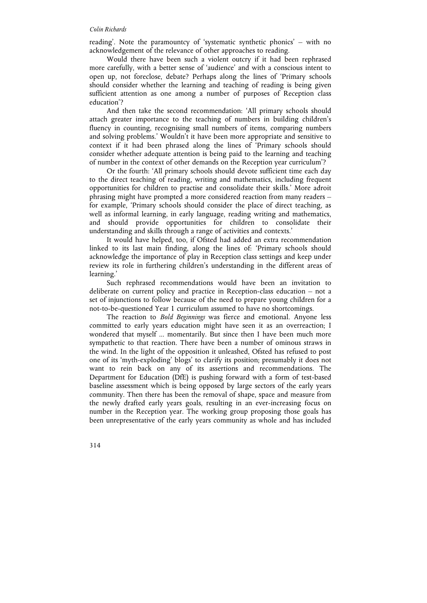## *Colin Richards*

reading'. Note the paramountcy of 'systematic synthetic phonics' – with no acknowledgement of the relevance of other approaches to reading.

Would there have been such a violent outcry if it had been rephrased more carefully, with a better sense of 'audience' and with a conscious intent to open up, not foreclose, debate? Perhaps along the lines of 'Primary schools should consider whether the learning and teaching of reading is being given sufficient attention as one among a number of purposes of Reception class education'?

And then take the second recommendation: 'All primary schools should attach greater importance to the teaching of numbers in building children's fluency in counting, recognising small numbers of items, comparing numbers and solving problems.' Wouldn't it have been more appropriate and sensitive to context if it had been phrased along the lines of 'Primary schools should consider whether adequate attention is being paid to the learning and teaching of number in the context of other demands on the Reception year curriculum'?

Or the fourth: 'All primary schools should devote sufficient time each day to the direct teaching of reading, writing and mathematics, including frequent opportunities for children to practise and consolidate their skills.' More adroit phrasing might have prompted a more considered reaction from many readers – for example, 'Primary schools should consider the place of direct teaching, as well as informal learning, in early language, reading writing and mathematics, and should provide opportunities for children to consolidate their understanding and skills through a range of activities and contexts.'

It would have helped, too, if Ofsted had added an extra recommendation linked to its last main finding, along the lines of: 'Primary schools should acknowledge the importance of play in Reception class settings and keep under review its role in furthering children's understanding in the different areas of learning.'

Such rephrased recommendations would have been an invitation to deliberate on current policy and practice in Reception-class education – not a set of injunctions to follow because of the need to prepare young children for a not-to-be-questioned Year 1 curriculum assumed to have no shortcomings.

The reaction to *Bold Beginnings* was fierce and emotional. Anyone less committed to early years education might have seen it as an overreaction; I wondered that myself ... momentarily. But since then I have been much more sympathetic to that reaction. There have been a number of ominous straws in the wind. In the light of the opposition it unleashed, Ofsted has refused to post one of its 'myth-exploding' blogs' to clarify its position; presumably it does not want to rein back on any of its assertions and recommendations. The Department for Education (DfE) is pushing forward with a form of test-based baseline assessment which is being opposed by large sectors of the early years community. Then there has been the removal of shape, space and measure from the newly drafted early years goals, resulting in an ever-increasing focus on number in the Reception year. The working group proposing those goals has been unrepresentative of the early years community as whole and has included